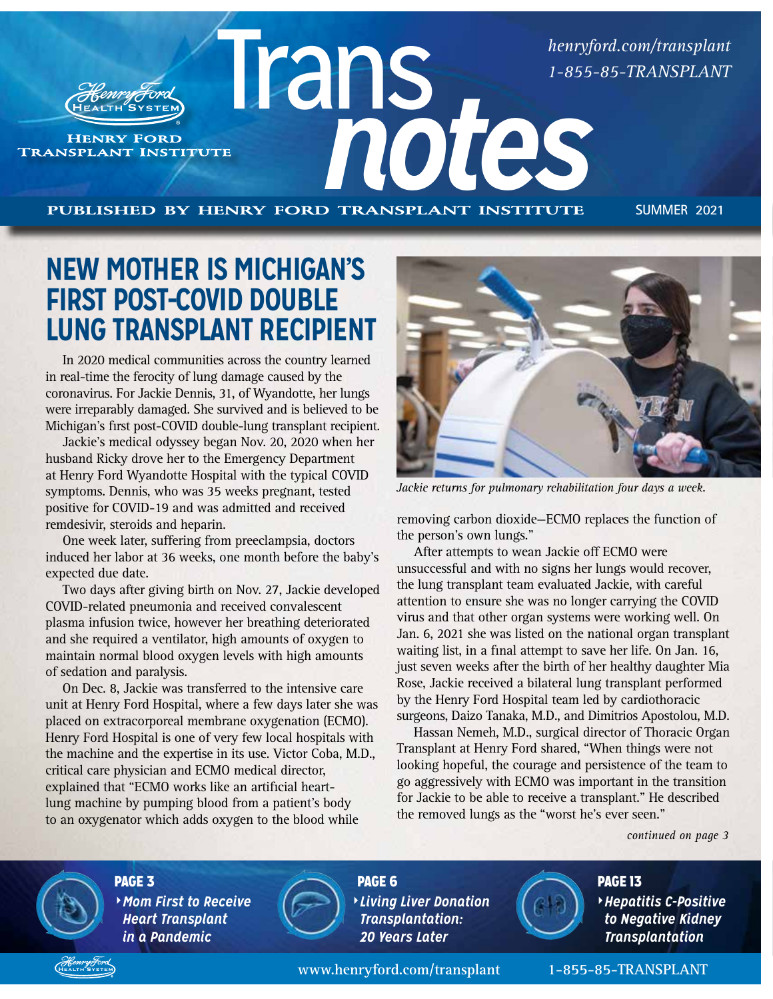*[henryford.com/transplant](https://www.henryford.com/services/transplant) 1-855-85-TRANSPLANT*

TRANSPLANT INSTITUTE **HENRY FORD** 

**published by henry ford transplant institute SUMMER 2021**

### **NEW MOTHER IS MICHIGAN'S FIRST POST-COVID DOUBLE LUNG TRANSPLANT RECIPIENT**

In 2020 medical communities across the country learned in real-time the ferocity of lung damage caused by the coronavirus. For Jackie Dennis, 31, of Wyandotte, her lungs were irreparably damaged. She survived and is believed to be Michigan's first post-COVID double-lung transplant recipient.

Jackie's medical odyssey began Nov. 20, 2020 when her husband Ricky drove her to the Emergency Department at Henry Ford Wyandotte Hospital with the typical COVID symptoms. Dennis, who was 35 weeks pregnant, tested positive for COVID-19 and was admitted and received remdesivir, steroids and heparin.

One week later, suffering from preeclampsia, doctors induced her labor at 36 weeks, one month before the baby's expected due date.

Two days after giving birth on Nov. 27, Jackie developed COVID-related pneumonia and received convalescent plasma infusion twice, however her breathing deteriorated and she required a ventilator, high amounts of oxygen to maintain normal blood oxygen levels with high amounts of sedation and paralysis.

On Dec. 8, Jackie was transferred to the intensive care unit at Henry Ford Hospital, where a few days later she was placed on extracorporeal membrane oxygenation (ECMO). Henry Ford Hospital is one of very few local hospitals with the machine and the expertise in its use. Victor Coba, M.D., critical care physician and ECMO medical director, explained that "ECMO works like an artificial heartlung machine by pumping blood from a patient's body to an oxygenator which adds oxygen to the blood while



*Jackie returns for pulmonary rehabilitation four days a week.*

removing carbon dioxide—ECMO replaces the function of the person's own lungs."

After attempts to wean Jackie off ECMO were unsuccessful and with no signs her lungs would recover, the lung transplant team evaluated Jackie, with careful attention to ensure she was no longer carrying the COVID virus and that other organ systems were working well. On Jan. 6, 2021 she was listed on the national organ transplant waiting list, in a final attempt to save her life. On Jan. 16, just seven weeks after the birth of her healthy daughter Mia Rose, Jackie received a bilateral lung transplant performed by the Henry Ford Hospital team led by cardiothoracic surgeons, Daizo Tanaka, M.D., and Dimitrios Apostolou, M.D.

Hassan Nemeh, M.D., surgical director of Thoracic Organ Transplant at Henry Ford shared, "When things were not looking hopeful, the courage and persistence of the team to go aggressively with ECMO was important in the transition for Jackie to be able to receive a transplant." He described the removed lungs as the "worst he's ever seen."

*continued on page 3*

*Hepatitis C-Positive to Negative Kidney Transplantation*



PAGE 3 *Mom First to Receive Heart Transplant in a Pandemic*



PAGE 6 *Living Liver Donation Transplantation: 20 Years Later*

**[www.henryford.com/transplant](https://www.henryford.com/services/transplant) 1-855-85-TRANSPLANT**

PAGE 13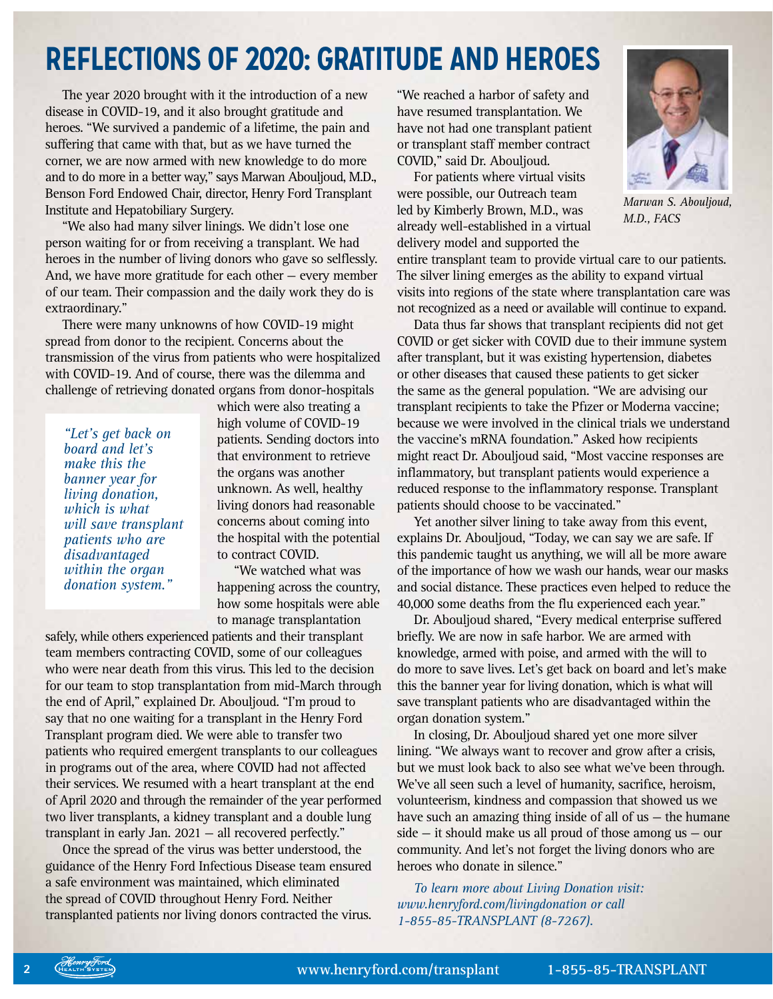# **REFLECTIONS OF 2020: GRATITUDE AND HEROES**

The year 2020 brought with it the introduction of a new disease in COVID-19, and it also brought gratitude and heroes. "We survived a pandemic of a lifetime, the pain and suffering that came with that, but as we have turned the corner, we are now armed with new knowledge to do more and to do more in a better way," says Marwan Abouljoud, M.D., Benson Ford Endowed Chair, director, Henry Ford Transplant Institute and Hepatobiliary Surgery.

"We also had many silver linings. We didn't lose one person waiting for or from receiving a transplant. We had heroes in the number of living donors who gave so selflessly. And, we have more gratitude for each other — every member of our team. Their compassion and the daily work they do is extraordinary."

There were many unknowns of how COVID-19 might spread from donor to the recipient. Concerns about the transmission of the virus from patients who were hospitalized with COVID-19. And of course, there was the dilemma and challenge of retrieving donated organs from donor-hospitals

*"Let's get back on board and let's make this the banner year for living donation, which is what will save transplant patients who are disadvantaged within the organ donation system."*

which were also treating a high volume of COVID-19 patients. Sending doctors into that environment to retrieve the organs was another unknown. As well, healthy living donors had reasonable concerns about coming into the hospital with the potential to contract COVID.

"We watched what was happening across the country, how some hospitals were able to manage transplantation

safely, while others experienced patients and their transplant team members contracting COVID, some of our colleagues who were near death from this virus. This led to the decision for our team to stop transplantation from mid-March through the end of April," explained Dr. Abouljoud. "I'm proud to say that no one waiting for a transplant in the Henry Ford Transplant program died. We were able to transfer two patients who required emergent transplants to our colleagues in programs out of the area, where COVID had not affected their services. We resumed with a heart transplant at the end of April 2020 and through the remainder of the year performed two liver transplants, a kidney transplant and a double lung transplant in early Jan. 2021 — all recovered perfectly."

Once the spread of the virus was better understood, the guidance of the Henry Ford Infectious Disease team ensured a safe environment was maintained, which eliminated the spread of COVID throughout Henry Ford. Neither transplanted patients nor living donors contracted the virus.

"We reached a harbor of safety and have resumed transplantation. We have not had one transplant patient or transplant staff member contract COVID," said Dr. Abouljoud.

For patients where virtual visits were possible, our Outreach team led by Kimberly Brown, M.D., was already well-established in a virtual delivery model and supported the

entire transplant team to provide virtual care to our patients. The silver lining emerges as the ability to expand virtual visits into regions of the state where transplantation care was not recognized as a need or available will continue to expand.

Data thus far shows that transplant recipients did not get COVID or get sicker with COVID due to their immune system after transplant, but it was existing hypertension, diabetes or other diseases that caused these patients to get sicker the same as the general population. "We are advising our transplant recipients to take the Pfizer or Moderna vaccine; because we were involved in the clinical trials we understand the vaccine's mRNA foundation." Asked how recipients might react Dr. Abouljoud said, "Most vaccine responses are inflammatory, but transplant patients would experience a reduced response to the inflammatory response. Transplant patients should choose to be vaccinated."

Yet another silver lining to take away from this event, explains Dr. Abouljoud, "Today, we can say we are safe. If this pandemic taught us anything, we will all be more aware of the importance of how we wash our hands, wear our masks and social distance. These practices even helped to reduce the 40,000 some deaths from the flu experienced each year."

Dr. Abouljoud shared, "Every medical enterprise suffered briefly. We are now in safe harbor. We are armed with knowledge, armed with poise, and armed with the will to do more to save lives. Let's get back on board and let's make this the banner year for living donation, which is what will save transplant patients who are disadvantaged within the organ donation system."

In closing, Dr. Abouljoud shared yet one more silver lining. "We always want to recover and grow after a crisis, but we must look back to also see what we've been through. We've all seen such a level of humanity, sacrifice, heroism, volunteerism, kindness and compassion that showed us we have such an amazing thing inside of all of us – the humane  $side - it$  should make us all proud of those among us  $-$  our community. And let's not forget the living donors who are heroes who donate in silence."

*To learn more about Living Donation visit: [www.henryford.com/livingdonation](https://www.henryford.com/services/transplant/center-for-living-donation) or call 1-855-85-TRANSPLANT (8-7267).*



*Marwan S. Abouljoud, M.D., FACS*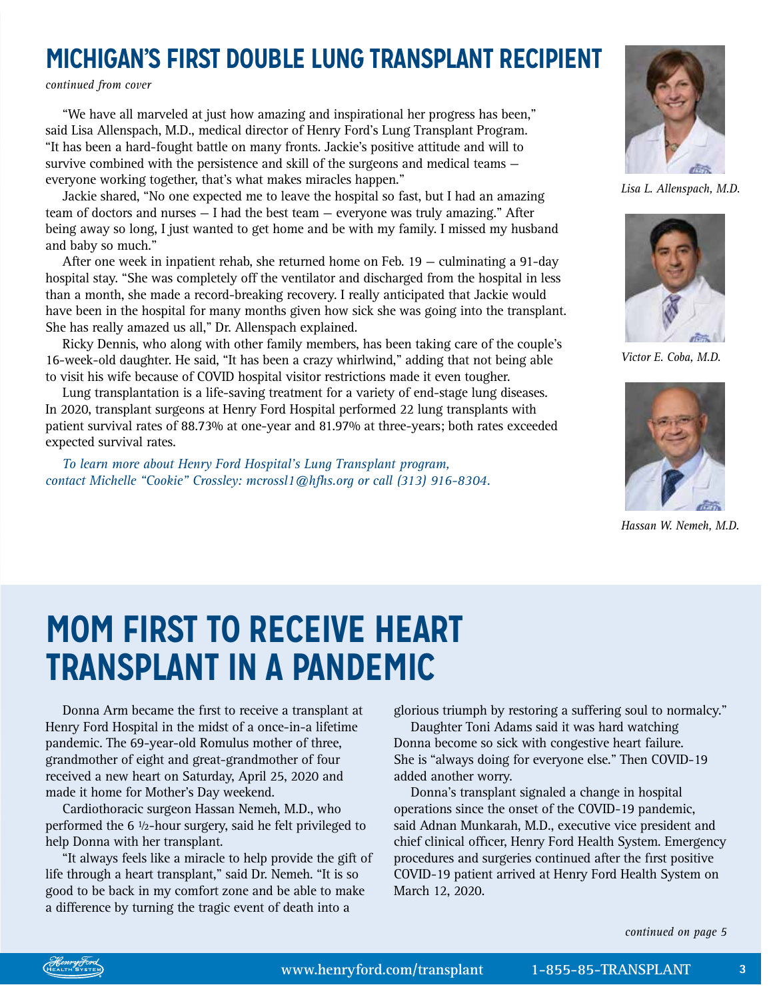### **MICHIGAN'S FIRST DOUBLE LUNG TRANSPLANT RECIPIENT**

*continued from cover*

"We have all marveled at just how amazing and inspirational her progress has been," said Lisa Allenspach, M.D., medical director of Henry Ford's Lung Transplant Program. "It has been a hard-fought battle on many fronts. Jackie's positive attitude and will to survive combined with the persistence and skill of the surgeons and medical teams everyone working together, that's what makes miracles happen."

Jackie shared, "No one expected me to leave the hospital so fast, but I had an amazing team of doctors and nurses — I had the best team — everyone was truly amazing." After being away so long, I just wanted to get home and be with my family. I missed my husband and baby so much."

After one week in inpatient rehab, she returned home on Feb. 19 — culminating a 91-day hospital stay. "She was completely off the ventilator and discharged from the hospital in less than a month, she made a record-breaking recovery. I really anticipated that Jackie would have been in the hospital for many months given how sick she was going into the transplant. She has really amazed us all," Dr. Allenspach explained.

Ricky Dennis, who along with other family members, has been taking care of the couple's 16-week-old daughter. He said, "It has been a crazy whirlwind," adding that not being able to visit his wife because of COVID hospital visitor restrictions made it even tougher.

Lung transplantation is a life-saving treatment for a variety of end-stage lung diseases. In 2020, transplant surgeons at Henry Ford Hospital performed 22 lung transplants with patient survival rates of 88.73% at one-year and 81.97% at three-years; both rates exceeded expected survival rates.

*To learn more about Henry Ford Hospital's Lung Transplant program, contact Michelle "Cookie" Crossley: mcrossl1@hfhs.org or call (313) 916-8304.*



*Lisa L. Allenspach, M.D.*



*Victor E. Coba, M.D.*



*Hassan W. Nemeh, M.D.*

# **MOM FIRST TO RECEIVE HEART TRANSPLANT IN A PANDEMIC**

Donna Arm became the first to receive a transplant at Henry Ford Hospital in the midst of a once-in-a lifetime pandemic. The 69-year-old Romulus mother of three, grandmother of eight and great-grandmother of four received a new heart on Saturday, April 25, 2020 and made it home for Mother's Day weekend.

Cardiothoracic surgeon Hassan Nemeh, M.D., who performed the 6 ½-hour surgery, said he felt privileged to help Donna with her transplant.

"It always feels like a miracle to help provide the gift of life through a heart transplant," said Dr. Nemeh. "It is so good to be back in my comfort zone and be able to make a difference by turning the tragic event of death into a

glorious triumph by restoring a suffering soul to normalcy."

Daughter Toni Adams said it was hard watching Donna become so sick with congestive heart failure. She is "always doing for everyone else." Then COVID-19 added another worry.

Donna's transplant signaled a change in hospital operations since the onset of the COVID-19 pandemic, said Adnan Munkarah, M.D., executive vice president and chief clinical officer, Henry Ford Health System. Emergency procedures and surgeries continued after the first positive COVID-19 patient arrived at Henry Ford Health System on March 12, 2020.

*continued on page 5*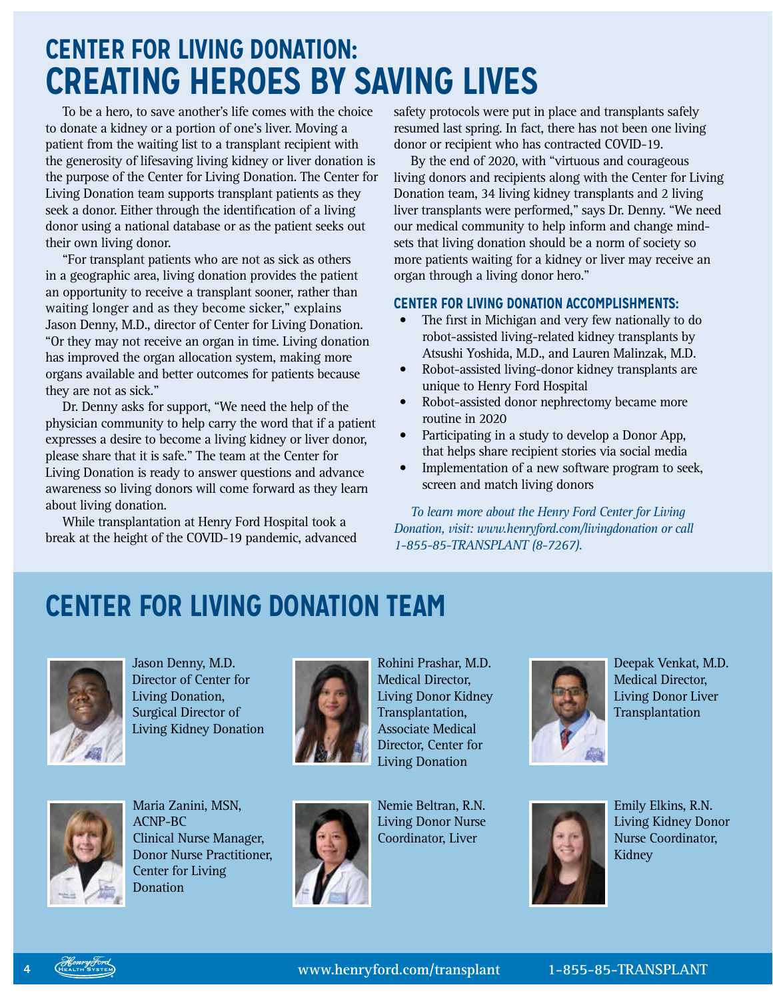# **CENTER FOR LIVING DONATION: CREATING HEROES BY SAVING LIVES**

To be a hero, to save another's life comes with the choice to donate a kidney or a portion of one's liver. Moving a patient from the waiting list to a transplant recipient with the generosity of lifesaving living kidney or liver donation is the purpose of the Center for Living Donation. The Center for Living Donation team supports transplant patients as they seek a donor. Either through the identification of a living donor using a national database or as the patient seeks out their own living donor.

"For transplant patients who are not as sick as others in a geographic area, living donation provides the patient an opportunity to receive a transplant sooner, rather than waiting longer and as they become sicker," explains Jason Denny, M.D., director of Center for Living Donation. "Or they may not receive an organ in time. Living donation has improved the organ allocation system, making more organs available and better outcomes for patients because they are not as sick."

Dr. Denny asks for support, "We need the help of the physician community to help carry the word that if a patient expresses a desire to become a living kidney or liver donor, please share that it is safe." The team at the Center for Living Donation is ready to answer questions and advance awareness so living donors will come forward as they learn about living donation.

While transplantation at Henry Ford Hospital took a break at the height of the COVID-19 pandemic, advanced safety protocols were put in place and transplants safely resumed last spring. In fact, there has not been one living donor or recipient who has contracted COVID-19.

By the end of 2020, with "virtuous and courageous living donors and recipients along with the Center for Living Donation team, 34 living kidney transplants and 2 living liver transplants were performed," says Dr. Denny. "We need our medical community to help inform and change mindsets that living donation should be a norm of society so more patients waiting for a kidney or liver may receive an organ through a living donor hero."

#### **CENTER FOR LIVING DONATION ACCOMPLISHMENTS:**

- The first in Michigan and very few nationally to do robot-assisted living-related kidney transplants by Atsushi Yoshida, M.D., and Lauren Malinzak, M.D.
- Robot-assisted living-donor kidney transplants are unique to Henry Ford Hospital
- Robot-assisted donor nephrectomy became more routine in 2020
- Participating in a study to develop a Donor App, that helps share recipient stories via social media
- Implementation of a new software program to seek, screen and match living donors

*To learn more about the Henry Ford Center for Living Donation, visit: [www.henryford.com/livingdonation](https://www.henryford.com/services/transplant/center-for-living-donation) or call 1-855-85-TRANSPLANT (8-7267).*

# **CENTER FOR LIVING DONATION TEAM**



Jason Denny, M.D. Director of Center for Living Donation, Surgical Director of Living Kidney Donation



Rohini Prashar, M.D. Medical Director, Living Donor Kidney Transplantation, Associate Medical Director, Center for Living Donation

Deepak Venkat, M.D. Medical Director, Living Donor Liver **Transplantation** 



Maria Zanini, MSN, ACNP-BC Clinical Nurse Manager, Donor Nurse Practitioner, Center for Living **Donation** 



Nemie Beltran, R.N. Living Donor Nurse Coordinator, Liver



Emily Elkins, R.N. Living Kidney Donor Nurse Coordinator, Kidney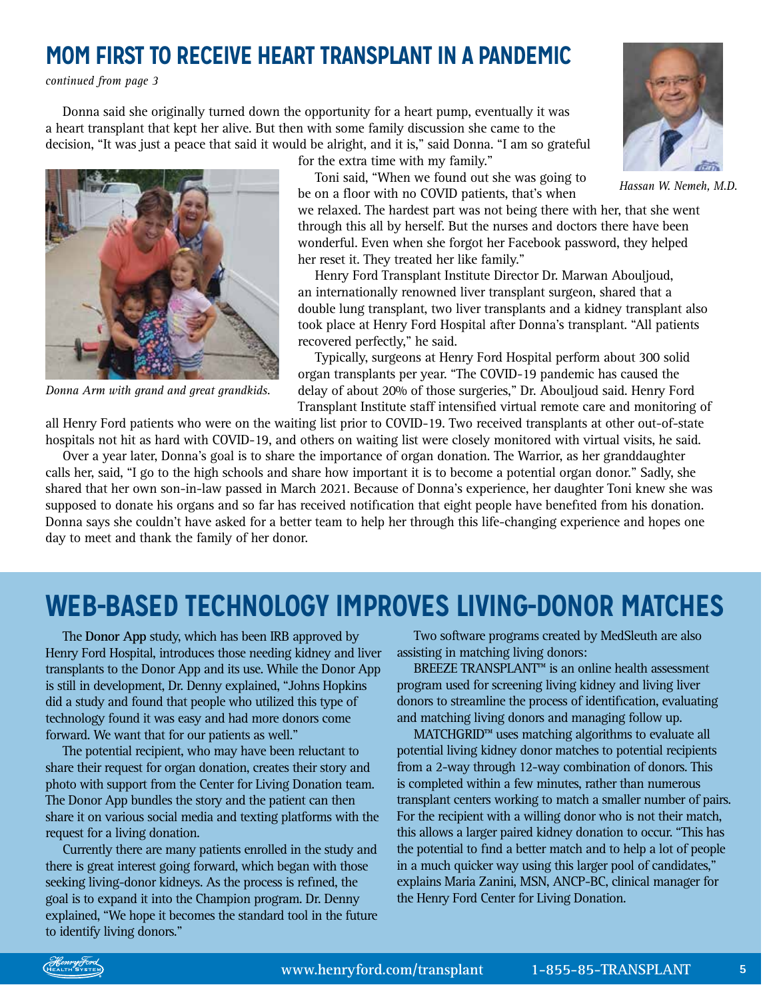### **MOM FIRST TO RECEIVE HEART TRANSPLANT IN A PANDEMIC**

*continued from page 3*

Donna said she originally turned down the opportunity for a heart pump, eventually it was a heart transplant that kept her alive. But then with some family discussion she came to the decision, "It was just a peace that said it would be alright, and it is," said Donna. "I am so grateful



*Donna Arm with grand and great grandkids.*

for the extra time with my family."

Toni said, "When we found out she was going to be on a floor with no COVID patients, that's when



*Hassan W. Nemeh, M.D.*

we relaxed. The hardest part was not being there with her, that she went through this all by herself. But the nurses and doctors there have been wonderful. Even when she forgot her Facebook password, they helped her reset it. They treated her like family."

Henry Ford Transplant Institute Director Dr. Marwan Abouljoud, an internationally renowned liver transplant surgeon, shared that a double lung transplant, two liver transplants and a kidney transplant also took place at Henry Ford Hospital after Donna's transplant. "All patients recovered perfectly," he said.

Typically, surgeons at Henry Ford Hospital perform about 300 solid organ transplants per year. "The COVID-19 pandemic has caused the delay of about 20% of those surgeries," Dr. Abouljoud said. Henry Ford Transplant Institute staff intensified virtual remote care and monitoring of

all Henry Ford patients who were on the waiting list prior to COVID-19. Two received transplants at other out-of-state hospitals not hit as hard with COVID-19, and others on waiting list were closely monitored with virtual visits, he said.

Over a year later, Donna's goal is to share the importance of organ donation. The Warrior, as her granddaughter calls her, said, "I go to the high schools and share how important it is to become a potential organ donor." Sadly, she shared that her own son-in-law passed in March 2021. Because of Donna's experience, her daughter Toni knew she was supposed to donate his organs and so far has received notification that eight people have benefited from his donation. Donna says she couldn't have asked for a better team to help her through this life-changing experience and hopes one day to meet and thank the family of her donor.

### **WEB-BASED TECHNOLOGY IMPROVES LIVING-DONOR MATCHES**

The **Donor App** study, which has been IRB approved by Henry Ford Hospital, introduces those needing kidney and liver transplants to the Donor App and its use. While the Donor App is still in development, Dr. Denny explained, "Johns Hopkins did a study and found that people who utilized this type of technology found it was easy and had more donors come forward. We want that for our patients as well."

The potential recipient, who may have been reluctant to share their request for organ donation, creates their story and photo with support from the Center for Living Donation team. The Donor App bundles the story and the patient can then share it on various social media and texting platforms with the request for a living donation.

Currently there are many patients enrolled in the study and there is great interest going forward, which began with those seeking living-donor kidneys. As the process is refined, the goal is to expand it into the Champion program. Dr. Denny explained, "We hope it becomes the standard tool in the future to identify living donors."

Two software programs created by MedSleuth are also assisting in matching living donors:

BREEZE TRANSPLANT™ is an online health assessment program used for screening living kidney and living liver donors to streamline the process of identification, evaluating and matching living donors and managing follow up.

MATCHGRID™ uses matching algorithms to evaluate all potential living kidney donor matches to potential recipients from a 2-way through 12-way combination of donors. This is completed within a few minutes, rather than numerous transplant centers working to match a smaller number of pairs. For the recipient with a willing donor who is not their match, this allows a larger paired kidney donation to occur. "This has the potential to find a better match and to help a lot of people in a much quicker way using this larger pool of candidates," explains Maria Zanini, MSN, ANCP-BC, clinical manager for the Henry Ford Center for Living Donation.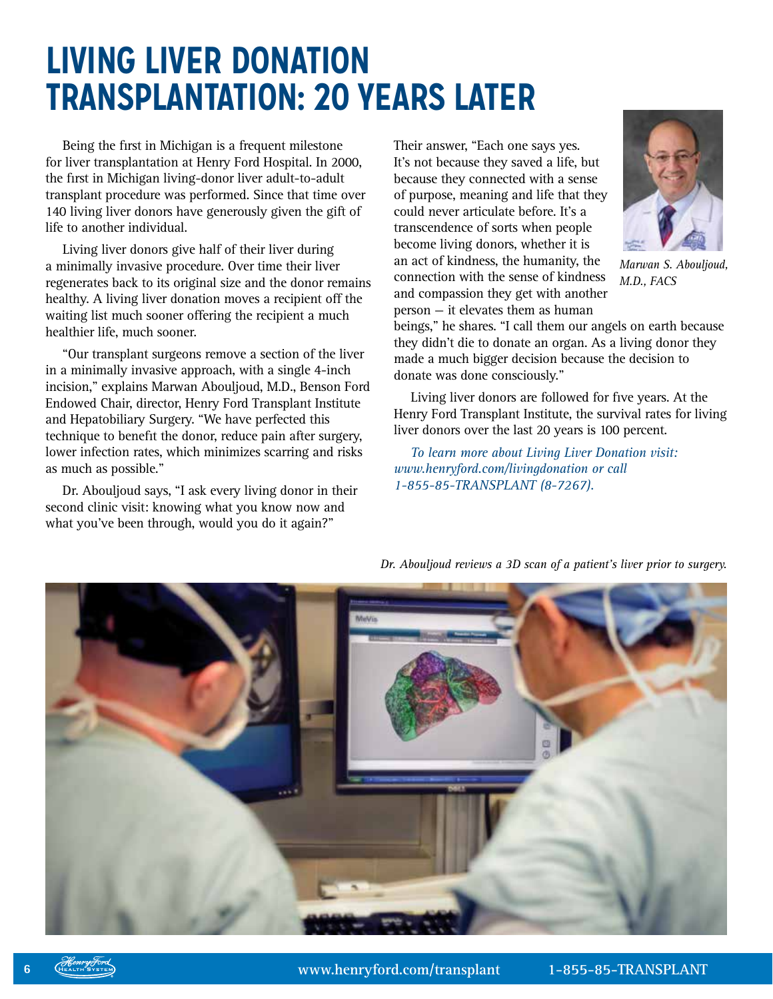# **LIVING LIVER DONATION TRANSPLANTATION: 20 YEARS LATER**

Being the first in Michigan is a frequent milestone for liver transplantation at Henry Ford Hospital. In 2000, the first in Michigan living-donor liver adult-to-adult transplant procedure was performed. Since that time over 140 living liver donors have generously given the gift of life to another individual.

Living liver donors give half of their liver during a minimally invasive procedure. Over time their liver regenerates back to its original size and the donor remains healthy. A living liver donation moves a recipient off the waiting list much sooner offering the recipient a much healthier life, much sooner.

"Our transplant surgeons remove a section of the liver in a minimally invasive approach, with a single 4-inch incision," explains Marwan Abouljoud, M.D., Benson Ford Endowed Chair, director, Henry Ford Transplant Institute and Hepatobiliary Surgery. "We have perfected this technique to benefit the donor, reduce pain after surgery, lower infection rates, which minimizes scarring and risks as much as possible."

Dr. Abouljoud says, "I ask every living donor in their second clinic visit: knowing what you know now and what you've been through, would you do it again?"

Their answer, "Each one says yes. It's not because they saved a life, but because they connected with a sense of purpose, meaning and life that they could never articulate before. It's a transcendence of sorts when people become living donors, whether it is an act of kindness, the humanity, the connection with the sense of kindness and compassion they get with another person — it elevates them as human



*Marwan S. Abouljoud, M.D., FACS*

beings," he shares. "I call them our angels on earth because they didn't die to donate an organ. As a living donor they made a much bigger decision because the decision to donate was done consciously."

Living liver donors are followed for five years. At the Henry Ford Transplant Institute, the survival rates for living liver donors over the last 20 years is 100 percent.

*To learn more about Living Liver Donation visit: [www.henryford.com/livingdonation](https://www.henryford.com/services/transplant/center-for-living-donation) or call 1-855-85-TRANSPLANT (8-7267).*



*Dr. Abouljoud reviews a 3D scan of a patient's liver prior to surgery.*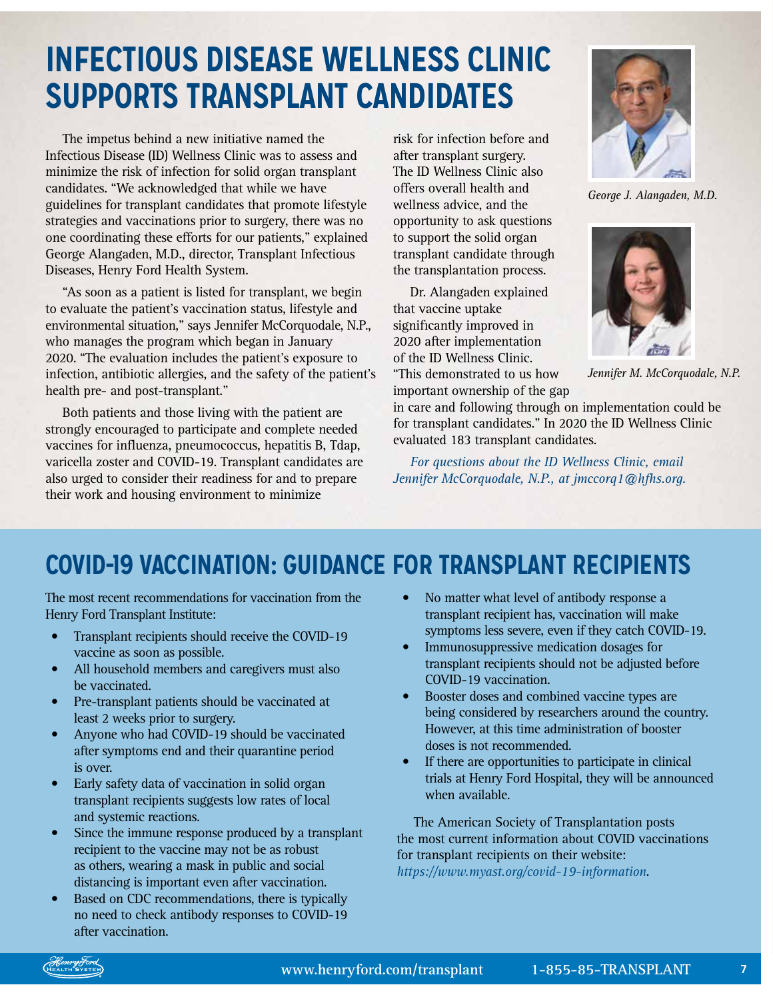# **INFECTIOUS DISEASE WELLNESS CLINIC SUPPORTS TRANSPLANT CANDIDATES**

The impetus behind a new initiative named the Infectious Disease (ID) Wellness Clinic was to assess and minimize the risk of infection for solid organ transplant candidates. "We acknowledged that while we have guidelines for transplant candidates that promote lifestyle strategies and vaccinations prior to surgery, there was no one coordinating these efforts for our patients," explained George Alangaden, M.D., director, Transplant Infectious Diseases, Henry Ford Health System.

"As soon as a patient is listed for transplant, we begin to evaluate the patient's vaccination status, lifestyle and environmental situation," says Jennifer McCorquodale, N.P., who manages the program which began in January 2020. "The evaluation includes the patient's exposure to infection, antibiotic allergies, and the safety of the patient's health pre- and post-transplant."

Both patients and those living with the patient are strongly encouraged to participate and complete needed vaccines for influenza, pneumococcus, hepatitis B, Tdap, varicella zoster and COVID-19. Transplant candidates are also urged to consider their readiness for and to prepare their work and housing environment to minimize

risk for infection before and after transplant surgery. The ID Wellness Clinic also offers overall health and wellness advice, and the opportunity to ask questions to support the solid organ transplant candidate through the transplantation process.

Dr. Alangaden explained that vaccine uptake significantly improved in 2020 after implementation of the ID Wellness Clinic. "This demonstrated to us how

important ownership of the gap

in care and following through on implementation could be for transplant candidates." In 2020 the ID Wellness Clinic evaluated 183 transplant candidates.

*For questions about the ID Wellness Clinic, email Jennifer McCorquodale, N.P., at jmccorq1@hfhs.org.*

### **COVID-19 VACCINATION: GUIDANCE FOR TRANSPLANT RECIPIENTS**

The most recent recommendations for vaccination from the Henry Ford Transplant Institute:

- Transplant recipients should receive the COVID-19 vaccine as soon as possible.
- All household members and caregivers must also be vaccinated.
- Pre-transplant patients should be vaccinated at least 2 weeks prior to surgery.
- Anyone who had COVID-19 should be vaccinated after symptoms end and their quarantine period is over.
- Early safety data of vaccination in solid organ transplant recipients suggests low rates of local and systemic reactions.
- Since the immune response produced by a transplant recipient to the vaccine may not be as robust as others, wearing a mask in public and social distancing is important even after vaccination.
- Based on CDC recommendations, there is typically no need to check antibody responses to COVID-19 after vaccination.
- No matter what level of antibody response a transplant recipient has, vaccination will make symptoms less severe, even if they catch COVID-19.
- Immunosuppressive medication dosages for transplant recipients should not be adjusted before COVID-19 vaccination.
- Booster doses and combined vaccine types are being considered by researchers around the country. However, at this time administration of booster doses is not recommended.
- If there are opportunities to participate in clinical trials at Henry Ford Hospital, they will be announced when available.

The American Society of Transplantation posts the most current information about COVID vaccinations for transplant recipients on their website:

*<https://www.myast.org/covid-19-information>*.



*George J. Alangaden, M.D.*



*Jennifer M. McCorquodale, N.P.*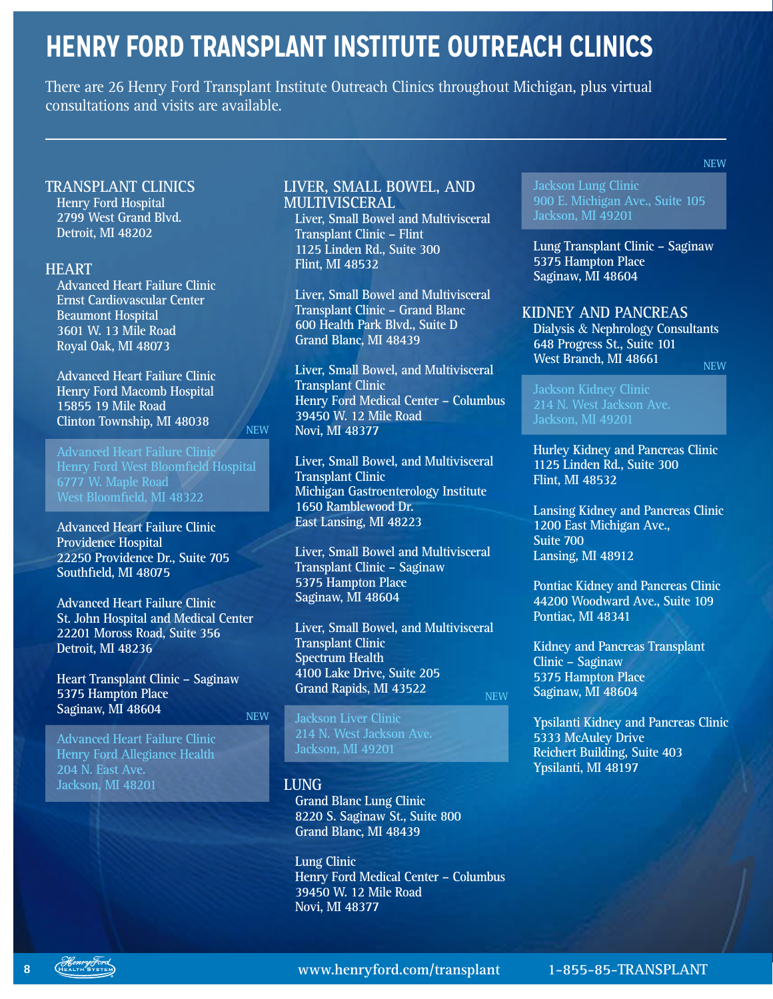## **HENRY FORD TRANSPLANT INSTITUTE OUTREACH CLINICS**

There are 26 Henry Ford Transplant Institute Outreach Clinics throughout Michigan, plus virtual consultations and visits are available.

#### **TRANSPLANT CLINICS**

**Henry Ford Hospital 2799 West Grand Blvd. Detroit, MI 48202**

#### **HEART**

**Advanced Heart Failure Clinic Ernst Cardiovascular Center Beaumont Hospital 3601 W. 13 Mile Road Royal Oak, MI 48073**

**Advanced Heart Failure Clinic Henry Ford Macomb Hospital 15855 19 Mile Road Clinton Township, MI 48038**

**Advanced Heart Failure Clinic Henry Ford West Bloomfield Hospital West Bloomfield, MI 48322**

**NEW**

**Advanced Heart Failure Clinic Providence Hospital 22250 Providence Dr., Suite 705 Southfield, MI 48075**

**Advanced Heart Failure Clinic St. John Hospital and Medical Center 22201 Moross Road, Suite 356 Detroit, MI 48236**

**Heart Transplant Clinic – Saginaw 5375 Hampton Place Saginaw, MI 48604** 

**Advanced Heart Failure Clinic Henry Ford Allegiance Health 204 N. East Ave. Jackson, MI 48201**

#### **LIVER, SMALL BOWEL, AND MULTIVISCERAL**

**Liver, Small Bowel and Multivisceral Transplant Clinic – Flint 1125 Linden Rd., Suite 300 Flint, MI 48532**

**Liver, Small Bowel and Multivisceral Transplant Clinic – Grand Blanc 600 Health Park Blvd., Suite D Grand Blanc, MI 48439**

**Liver, Small Bowel, and Multivisceral Transplant Clinic Henry Ford Medical Center – Columbus 39450 W. 12 Mile Road Novi, MI 48377**

**Liver, Small Bowel, and Multivisceral Transplant Clinic Michigan Gastroenterology Institute 1650 Ramblewood Dr. East Lansing, MI 48223**

**Liver, Small Bowel and Multivisceral Transplant Clinic – Saginaw 5375 Hampton Place Saginaw, MI 48604**

**Liver, Small Bowel, and Multivisceral Transplant Clinic Spectrum Health 4100 Lake Drive, Suite 205 Grand Rapids, MI 43522 NEW**

**Jackson Liver Clinic Jackson, MI 49201**

#### **LUNG**

**NEW**

**Grand Blanc Lung Clinic 8220 S. Saginaw St., Suite 800 Grand Blanc, MI 48439**

**Lung Clinic Henry Ford Medical Center – Columbus 39450 W. 12 Mile Road Novi, MI 48377**

**Jackson Lung Clinic 900 E. Michigan Ave., Suite 105 Jackson, MI 49201**

**NEW**

**Lung Transplant Clinic – Saginaw 5375 Hampton Place Saginaw, MI 48604**

#### **KIDNEY AND PANCREAS**

**Dialysis** & **Nephrology Consultants 648 Progress St., Suite 101 West Branch, MI 48661 NEW**

**Jackson Kidney Clinic Jackson, MI 49201**

**Hurley Kidney and Pancreas Clinic 1125 Linden Rd., Suite 300 Flint, MI 48532**

**Lansing Kidney and Pancreas Clinic 1200 East Michigan Ave., Suite 700 Lansing, MI 48912**

**Pontiac Kidney and Pancreas Clinic 44200 Woodward Ave., Suite 109 Pontiac, MI 48341**

**Kidney and Pancreas Transplant Clinic – Saginaw 5375 Hampton Place Saginaw, MI 48604**

**Ypsilanti Kidney and Pancreas Clinic 5333 McAuley Drive Reichert Building, Suite 403 Ypsilanti, MI 48197**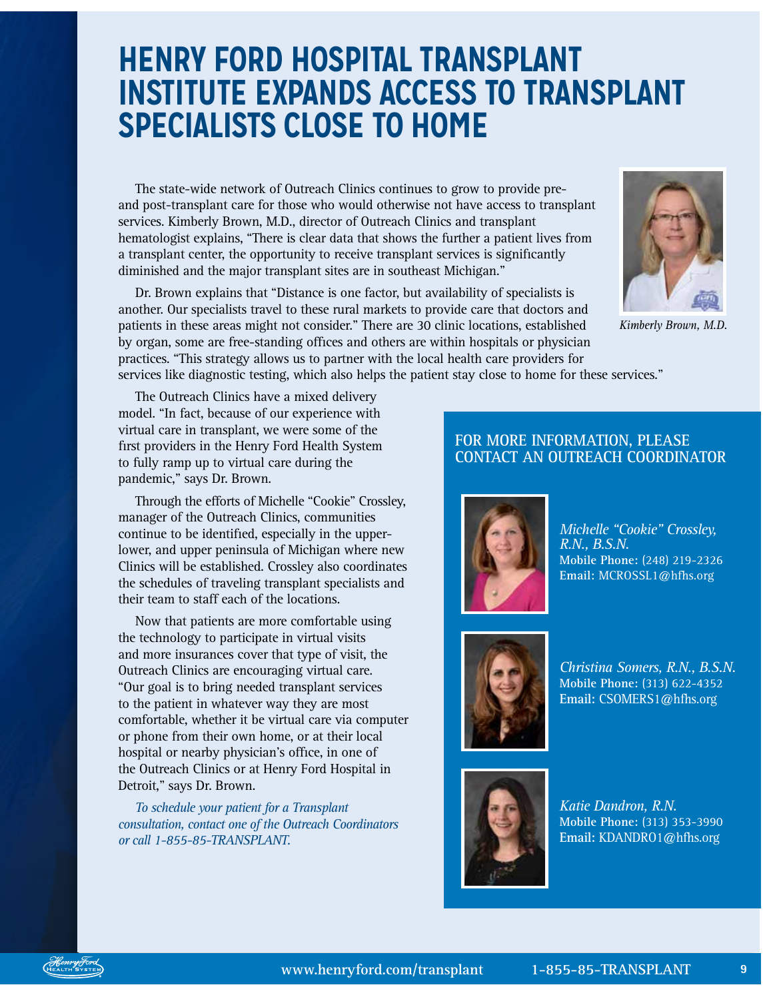# **HENRY FORD HOSPITAL TRANSPLANT INSTITUTE EXPANDS ACCESS TO TRANSPLANT SPECIALISTS CLOSE TO HOME**

The state-wide network of Outreach Clinics continues to grow to provide preand post-transplant care for those who would otherwise not have access to transplant services. Kimberly Brown, M.D., director of Outreach Clinics and transplant hematologist explains, "There is clear data that shows the further a patient lives from a transplant center, the opportunity to receive transplant services is significantly diminished and the major transplant sites are in southeast Michigan."

Dr. Brown explains that "Distance is one factor, but availability of specialists is another. Our specialists travel to these rural markets to provide care that doctors and patients in these areas might not consider." There are 30 clinic locations, established by organ, some are free-standing offices and others are within hospitals or physician practices. "This strategy allows us to partner with the local health care providers for services like diagnostic testing, which also helps the patient stay close to home for these services."



*Kimberly Brown, M.D.*

The Outreach Clinics have a mixed delivery model. "In fact, because of our experience with virtual care in transplant, we were some of the first providers in the Henry Ford Health System to fully ramp up to virtual care during the pandemic," says Dr. Brown.

Through the efforts of Michelle "Cookie" Crossley, manager of the Outreach Clinics, communities continue to be identified, especially in the upperlower, and upper peninsula of Michigan where new Clinics will be established. Crossley also coordinates the schedules of traveling transplant specialists and their team to staff each of the locations.

Now that patients are more comfortable using the technology to participate in virtual visits and more insurances cover that type of visit, the Outreach Clinics are encouraging virtual care. "Our goal is to bring needed transplant services to the patient in whatever way they are most comfortable, whether it be virtual care via computer or phone from their own home, or at their local hospital or nearby physician's office, in one of the Outreach Clinics or at Henry Ford Hospital in Detroit," says Dr. Brown.

*To schedule your patient for a Transplant consultation, contact one of the Outreach Coordinators or call 1-855-85-TRANSPLANT.*

### **FOR MORE INFORMATION, PLEASE CONTACT AN OUTREACH COORDINATOR**



*Michelle "Cookie" Crossley, R.N., B.S.N.* **Mobile Phone:** (248) 219-2326 **Email:** [MCROSSL1@hfhs.org](mailto:MCROSSL1@hfhs.org)



*Christina Somers, R.N., B.S.N.* **Mobile Phone:** (313) 622-4352 **Email:** [CSOMERS1@hfhs.org](mailto:CSOMERS1@hfhs.org)



*Katie Dandron, R.N.* **Mobile Phone:** (313) 353-3990 **Email:** KDANDRO1@hfhs.org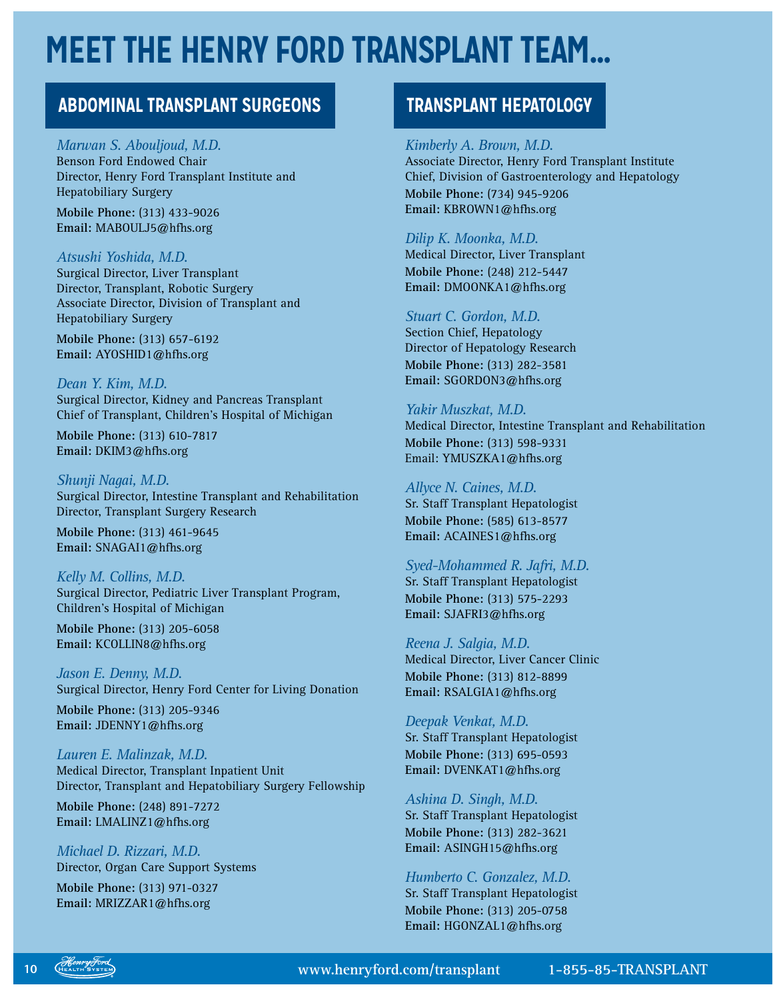# **MEET THE HENRY FORD TRANSPLANT TEAM…**

### **ABDOMINAL TRANSPLANT SURGEONS TRANSPLANT HEPATOLOGY**

#### *Marwan S. Abouljoud, M.D.*

Benson Ford Endowed Chair Director, Henry Ford Transplant Institute and Hepatobiliary Surgery

**Mobile Phone:** (313) 433-9026 **Email:** [MABOULJ5@hfhs.org](mailto:MABOULJ5%40hfhs.org?subject=)

#### *Atsushi Yoshida, M.D.*

Surgical Director, Liver Transplant Director, Transplant, Robotic Surgery Associate Director, Division of Transplant and Hepatobiliary Surgery

**Mobile Phone:** (313) 657-6192 **Email:** [AYOSHID1@hfhs.org](mailto:AYOSHID1%40hfhs.org?subject=)

*Dean Y. Kim, M.D.* Surgical Director, Kidney and Pancreas Transplant Chief of Transplant, Children's Hospital of Michigan

**Mobile Phone:** (313) 610-7817 **Email:** [DKIM3@hfhs.org](mailto:DKIM3%40hfhs.org?subject=)

*Shunji Nagai, M.D.* Surgical Director, Intestine Transplant and Rehabilitation Director, Transplant Surgery Research

**Mobile Phone:** (313) 461-9645 **Email:** [SNAGAI1@hfhs.org](mailto:SNAGAI1%40hfhs.org?subject=)

#### *Kelly M. Collins, M.D.*

Surgical Director, Pediatric Liver Transplant Program, Children's Hospital of Michigan

**Mobile Phone:** (313) 205-6058 **Email:** [KCOLLIN8@hfhs.org](mailto:KCOLLIN8%40hfhs.org?subject=)

*Jason E. Denny, M.D.* Surgical Director, Henry Ford Center for Living Donation

**Mobile Phone:** (313) 205-9346 **Email:** [JDENNY1@hfhs.org](mailto:JDENNY1%40hfhs.org?subject=)

*Lauren E. Malinzak, M.D.* Medical Director, Transplant Inpatient Unit Director, Transplant and Hepatobiliary Surgery Fellowship

**Mobile Phone:** (248) 891-7272 **Email:** [LMALINZ1@hfhs.org](mailto:LMALINZ1%40hfhs.org?subject=)

*Michael D. Rizzari, M.D.* Director, Organ Care Support Systems

**Mobile Phone:** (313) 971-0327 **Email:** [MRIZZAR1@hfhs.org](mailto:MRIZZAR1@hfhs.org)

#### *Kimberly A. Brown, M.D.*

Associate Director, Henry Ford Transplant Institute Chief, Division of Gastroenterology and Hepatology **Mobile Phone:** (734) 945-9206 **Email:** [KBROWN1@hfhs.org](mailto:KBROWN1@hfhs.org)

#### *Dilip K. Moonka, M.D.*

Medical Director, Liver Transplant **Mobile Phone:** (248) 212-5447 **Email:** [DMOONKA1@hfhs.org](mailto:DMOONKA1@hfhs.org)

#### *Stuart C. Gordon, M.D.*

Section Chief, Hepatology Director of Hepatology Research **Mobile Phone:** (313) 282-3581 **Email:** [SGORDON3@hfhs.org](mailto:SGORDON3@hfhs.org)

#### *Yakir Muszkat, M.D.*

Medical Director, Intestine Transplant and Rehabilitation **Mobile Phone:** (313) 598-9331 Email: [YMUSZKA1@hfhs.org](mailto:YMUSZKA1@hfhs.org)

#### *Allyce N. Caines, M.D.*

Sr. Staff Transplant Hepatologist **Mobile Phone:** (585) 613-8577 **Email:** ACAINES1@hfhs.org

#### *Syed-Mohammed R. Jafri, M.D.*

Sr. Staff Transplant Hepatologist **Mobile Phone:** (313) 575-2293 **Email:** [SJAFRI3@hfhs.org](mailto:SJAFRI3@hfhs.org)

#### *Reena J. Salgia, M.D.*

Medical Director, Liver Cancer Clinic **Mobile Phone:** (313) 812-8899 **Email:** [RSALGIA1@hfhs.org](mailto:RSALGIA1@hfhs.org)

#### *Deepak Venkat, M.D.*

Sr. Staff Transplant Hepatologist **Mobile Phone:** (313) 695-0593 **Email:** [DVENKAT1@hfhs.org](mailto:DVENKAT1@hfhs.org)

#### *Ashina D. Singh, M.D.*

Sr. Staff Transplant Hepatologist **Mobile Phone:** (313) 282-3621 **Email:** [ASINGH15@hfhs.org](mailto:ASINGH15@hfhs.org)

#### *Humberto C. Gonzalez, M.D.*

Sr. Staff Transplant Hepatologist **Mobile Phone:** (313) 205-0758 **Email:** [HGONZAL1@hfhs.org](mailto:HGONZAL1@hfhs.org)

**10 [www.henryford.com/transplant](https://www.henryford.com/transplant) 1-855-85-TRANSPLANT**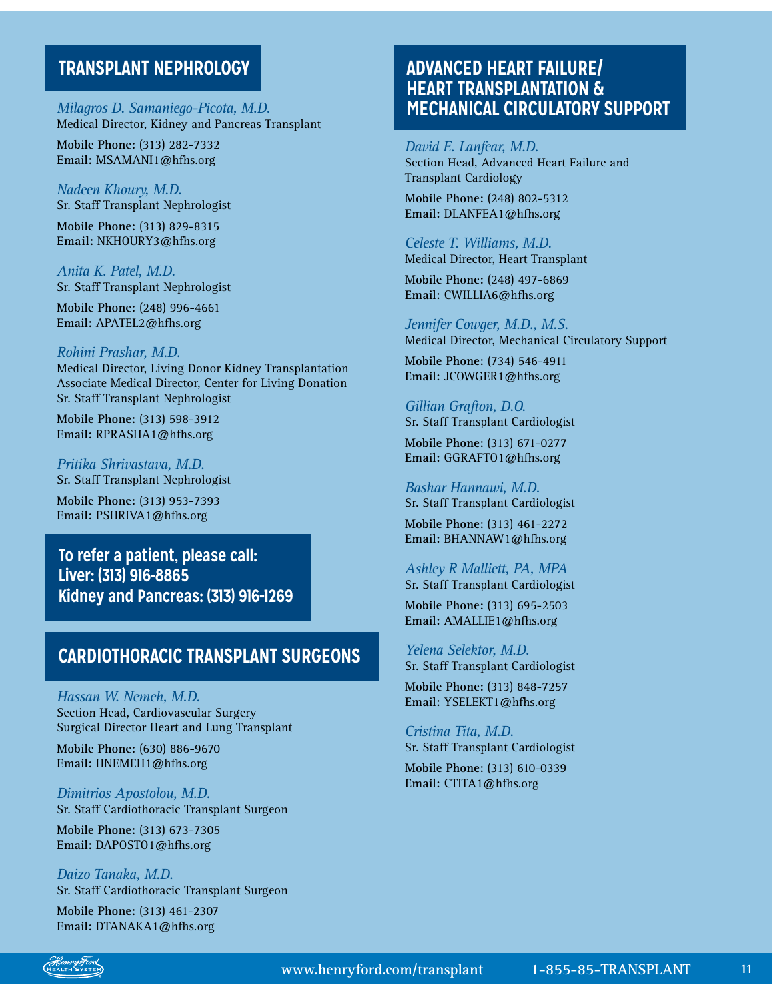### **TRANSPLANT NEPHROLOGY**

*Milagros D. Samaniego-Picota, M.D.* Medical Director, Kidney and Pancreas Transplant

**Mobile Phone:** (313) 282-7332 **Email:** [MSAMANI1@hfhs.org](mailto:MSAMANI1@hfhs.org)

*Nadeen Khoury, M.D.* Sr. Staff Transplant Nephrologist

**Mobile Phone:** (313) 829-8315 **Email:** [NKHOURY3@hfhs.org](mailto:NKHOURY3@hfhs.org)

*Anita K. Patel, M.D.* Sr. Staff Transplant Nephrologist

**Mobile Phone:** (248) 996-4661 **Email:** [APATEL2@hfhs.org](mailto:APATEL2@hfhs.org)

#### *Rohini Prashar, M.D.*

Medical Director, Living Donor Kidney Transplantation Associate Medical Director, Center for Living Donation Sr. Staff Transplant Nephrologist

**Mobile Phone:** (313) 598-3912 **Email:** [RPRASHA1@hfhs.org](mailto:RPRASHA1@hfhs.org)

*Pritika Shrivastava, M.D.* Sr. Staff Transplant Nephrologist

**Mobile Phone:** (313) 953-7393 **Email:** PSHRIVA1@hfhs.org

**To refer a patient, please call: Liver: (313) 916-8865 Kidney and Pancreas: (313) 916-1269**

### **CARDIOTHORACIC TRANSPLANT SURGEONS**

*Hassan W. Nemeh, M.D.* Section Head, Cardiovascular Surgery Surgical Director Heart and Lung Transplant

**Mobile Phone:** (630) 886-9670 **Email:** [HNEMEH1@hfhs.org](mailto:HNEMEH1@hfhs.org)

*Dimitrios Apostolou, M.D.* Sr. Staff Cardiothoracic Transplant Surgeon

**Mobile Phone:** (313) 673-7305 **Email:** [DAPOSTO1@hfhs.org](mailto:DAPOSTO1@hfhs.org)

*Daizo Tanaka, M.D.* Sr. Staff Cardiothoracic Transplant Surgeon

**Mobile Phone:** (313) 461-2307 **Email:** [DTANAKA1@hfhs.org](mailto:DTANAKA1@hfhs.org)

### **ADVANCED HEART FAILURE/ HEART TRANSPLANTATION & MECHANICAL CIRCULATORY SUPPORT**

*David E. Lanfear, M.D.* Section Head, Advanced Heart Failure and Transplant Cardiology

**Mobile Phone:** (248) 802-5312 **Email:** [DLANFEA1@hfhs.org](mailto:DLANFEA1@hfhs.org)

#### *Celeste T. Williams, M.D.*

Medical Director, Heart Transplant

**Mobile Phone:** (248) 497-6869 **Email:** [CWILLIA6@hfhs.org](mailto:CWILLIA6@hfhs.org)

#### *Jennifer Cowger, M.D., M.S.*

Medical Director, Mechanical Circulatory Support

**Mobile Phone:** (734) 546-4911 **Email:** [JCOWGER1@hfhs.org](mailto:JCOWGER1@hfhs.org)

#### *Gillian Grafton, D.O.*

Sr. Staff Transplant Cardiologist

**Mobile Phone:** (313) 671-0277 **Email:** GGRAFTO1[@hfhs.org](mailto:GGRAFTON@hfhs.org)

### *Bashar Hannawi, M.D.*

Sr. Staff Transplant Cardiologist **Mobile Phone:** (313) 461-2272

**Email:** BHANNAW1@hfhs.org

#### *Ashley R Malliett, PA, MPA*

Sr. Staff Transplant Cardiologist

**Mobile Phone:** (313) 695-2503 **Email:** AMALLIE1@hfhs.org

#### *Yelena Selektor, M.D.* Sr. Staff Transplant Cardiologist

**Mobile Phone:** (313) 848-7257 **Email:** [YSELEKT1@hfhs.org](mailto:YSELEKT1@hfhs.org)

#### *Cristina Tita, M.D.* Sr. Staff Transplant Cardiologist

**Mobile Phone:** (313) 610-0339 **Email:** [CTITA1@hfhs.org](mailto:CTITA1@hfhs.org)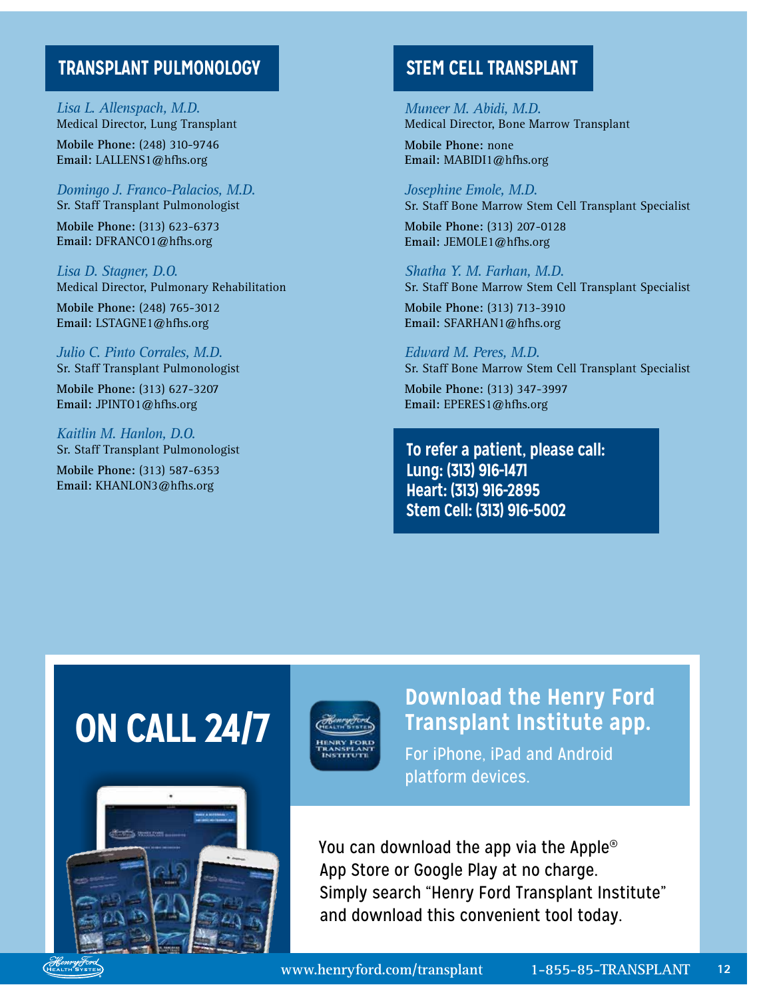### **TRANSPLANT PULMONOLOGY STEM CELL TRANSPLANT**

*Lisa L. Allenspach, M.D.* Medical Director, Lung Transplant

**Mobile Phone:** (248) 310-9746 **Email:** [LALLENS1@hfhs.org](mailto:LALLENS1@hfhs.org)

*Domingo J. Franco-Palacios, M.D.* Sr. Staff Transplant Pulmonologist

**Mobile Phone:** (313) 623-6373 **Email:** DFRANCO1@hfhs.org

*Lisa D. Stagner, D.O.* Medical Director, Pulmonary Rehabilitation

**Mobile Phone:** (248) 765-3012 **Email:** [LSTAGNE1@hfhs.org](mailto:LSTAGNE1@hfhs.org)

*Julio C. Pinto Corrales, M.D.* Sr. Staff Transplant Pulmonologist

**Mobile Phone:** (313) 627-3207 **Email:** [JPINTO1@hfhs.org](mailto:JPINTO1@hfhs.org)

*Kaitlin M. Hanlon, D.O.* Sr. Staff Transplant Pulmonologist

**Mobile Phone:** (313) 587-6353 **Email:** [KHANLON3@hfhs.org](mailto:KHANLON3@hfhs.org)

*Muneer M. Abidi, M.D.* Medical Director, Bone Marrow Transplant

**Mobile Phone:** none **Email:** MABIDI1@hfhs.org

*Josephine Emole, M.D.* Sr. Staff Bone Marrow Stem Cell Transplant Specialist

**Mobile Phone:** (313) 207-0128 **Email:** [JEMOLE1@hfhs.org](mailto:JEMOLE1@hfhs.org)

*Shatha Y. M. Farhan, M.D.* Sr. Staff Bone Marrow Stem Cell Transplant Specialist

**Mobile Phone:** (313) 713-3910 **Email:** [SFARHAN1@hfhs.org](mailto:SFARHAN1@hfhs.org)

*Edward M. Peres, M.D.* Sr. Staff Bone Marrow Stem Cell Transplant Specialist

**Mobile Phone:** (313) 347-3997 **Email:** [EPERES1@hfhs.org](mailto:EPERES1@hfhs.org)

**To refer a patient, please call: Lung: (313) 916-1471 Heart: (313) 916-2895 Stem Cell: (313) 916-5002**

# **ON CALL 24/7**





**Download the Henry Ford Transplant Institute app.**

For iPhone, iPad and Android platform devices.

You can download the app via the Apple® App Store or Google Play at no charge. Simply search "Henry Ford Transplant Institute" and download this convenient tool today.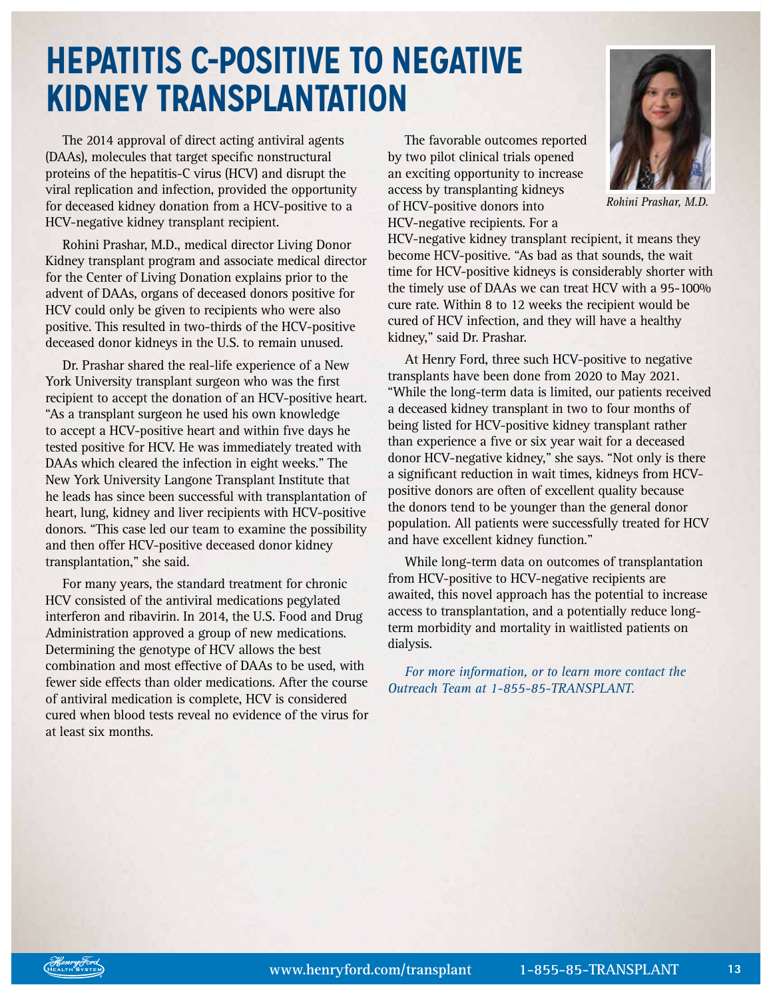# **HEPATITIS C-POSITIVE TO NEGATIVE KIDNEY TRANSPLANTATION**

The 2014 approval of direct acting antiviral agents (DAAs), molecules that target specific nonstructural proteins of the hepatitis-C virus (HCV) and disrupt the viral replication and infection, provided the opportunity for deceased kidney donation from a HCV-positive to a HCV-negative kidney transplant recipient.

Rohini Prashar, M.D., medical director Living Donor Kidney transplant program and associate medical director for the Center of Living Donation explains prior to the advent of DAAs, organs of deceased donors positive for HCV could only be given to recipients who were also positive. This resulted in two-thirds of the HCV-positive deceased donor kidneys in the U.S. to remain unused.

Dr. Prashar shared the real-life experience of a New York University transplant surgeon who was the first recipient to accept the donation of an HCV-positive heart. "As a transplant surgeon he used his own knowledge to accept a HCV-positive heart and within five days he tested positive for HCV. He was immediately treated with DAAs which cleared the infection in eight weeks." The New York University Langone Transplant Institute that he leads has since been successful with transplantation of heart, lung, kidney and liver recipients with HCV-positive donors. "This case led our team to examine the possibility and then offer HCV-positive deceased donor kidney transplantation," she said.

For many years, the standard treatment for chronic HCV consisted of the antiviral medications pegylated interferon and ribavirin. In 2014, the U.S. Food and Drug Administration approved a group of new medications. Determining the genotype of HCV allows the best combination and most effective of DAAs to be used, with fewer side effects than older medications. After the course of antiviral medication is complete, HCV is considered cured when blood tests reveal no evidence of the virus for at least six months.

The favorable outcomes reported by two pilot clinical trials opened an exciting opportunity to increase access by transplanting kidneys of HCV-positive donors into HCV-negative recipients. For a



*Rohini Prashar, M.D.*

HCV-negative kidney transplant recipient, it means they become HCV-positive. "As bad as that sounds, the wait time for HCV-positive kidneys is considerably shorter with the timely use of DAAs we can treat HCV with a 95-100% cure rate. Within 8 to 12 weeks the recipient would be cured of HCV infection, and they will have a healthy kidney," said Dr. Prashar.

At Henry Ford, three such HCV-positive to negative transplants have been done from 2020 to May 2021. "While the long-term data is limited, our patients received a deceased kidney transplant in two to four months of being listed for HCV-positive kidney transplant rather than experience a five or six year wait for a deceased donor HCV-negative kidney," she says. "Not only is there a significant reduction in wait times, kidneys from HCVpositive donors are often of excellent quality because the donors tend to be younger than the general donor population. All patients were successfully treated for HCV and have excellent kidney function."

While long-term data on outcomes of transplantation from HCV-positive to HCV-negative recipients are awaited, this novel approach has the potential to increase access to transplantation, and a potentially reduce longterm morbidity and mortality in waitlisted patients on dialysis.

*For more information, or to learn more contact the Outreach Team at 1-855-85-TRANSPLANT.*